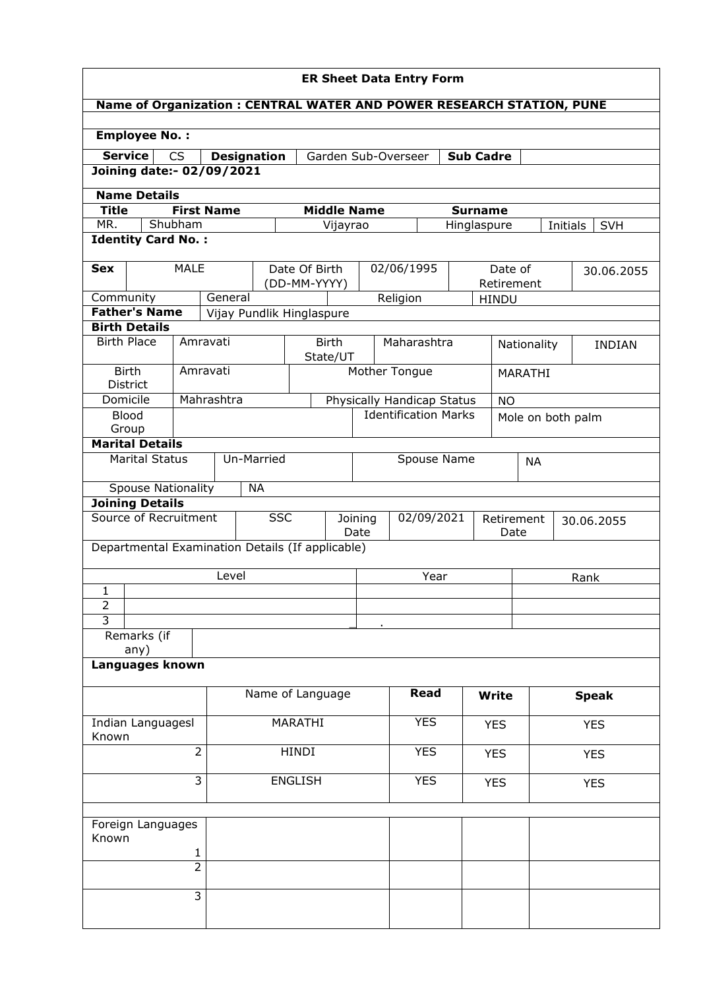| <b>ER Sheet Data Entry Form</b>                                                             |                                                                                                         |                |                           |                               |                            |            |                             |                    |            |                       |                   |            |               |
|---------------------------------------------------------------------------------------------|---------------------------------------------------------------------------------------------------------|----------------|---------------------------|-------------------------------|----------------------------|------------|-----------------------------|--------------------|------------|-----------------------|-------------------|------------|---------------|
| Name of Organization : CENTRAL WATER AND POWER RESEARCH STATION, PUNE                       |                                                                                                         |                |                           |                               |                            |            |                             |                    |            |                       |                   |            |               |
|                                                                                             |                                                                                                         |                |                           |                               |                            |            |                             |                    |            |                       |                   |            |               |
| <b>Employee No.:</b>                                                                        |                                                                                                         |                |                           |                               |                            |            |                             |                    |            |                       |                   |            |               |
| <b>Service</b>                                                                              | <b>CS</b><br><b>Designation</b><br>Garden Sub-Overseer<br><b>Sub Cadre</b><br>Joining date:- 02/09/2021 |                |                           |                               |                            |            |                             |                    |            |                       |                   |            |               |
|                                                                                             |                                                                                                         |                |                           |                               |                            |            |                             |                    |            |                       |                   |            |               |
| <b>Name Details</b>                                                                         |                                                                                                         |                |                           |                               |                            |            |                             |                    |            |                       |                   |            |               |
| <b>Title</b><br><b>First Name</b><br><b>Middle Name</b><br><b>Surname</b><br>MR.<br>Shubham |                                                                                                         |                |                           |                               |                            |            |                             |                    |            |                       |                   |            |               |
| Vijayrao<br>Hinglaspure<br>Initials<br><b>SVH</b><br><b>Identity Card No.:</b>              |                                                                                                         |                |                           |                               |                            |            |                             |                    |            |                       |                   |            |               |
| <b>Sex</b>                                                                                  | <b>MALE</b>                                                                                             |                |                           | Date Of Birth<br>(DD-MM-YYYY) |                            |            | 02/06/1995                  |                    |            | Date of<br>Retirement |                   | 30.06.2055 |               |
| Community                                                                                   |                                                                                                         | General        |                           |                               |                            |            | Religion                    |                    |            | <b>HINDU</b>          |                   |            |               |
| <b>Father's Name</b>                                                                        |                                                                                                         |                | Vijay Pundlik Hinglaspure |                               |                            |            |                             |                    |            |                       |                   |            |               |
| <b>Birth Details</b><br><b>Birth Place</b>                                                  |                                                                                                         |                |                           |                               |                            |            |                             |                    |            |                       |                   |            |               |
|                                                                                             |                                                                                                         | Amravati       |                           |                               | <b>Birth</b><br>State/UT   |            | Maharashtra                 |                    |            |                       | Nationality       |            | <b>INDIAN</b> |
| <b>Birth</b><br><b>District</b>                                                             |                                                                                                         | Amravati       |                           |                               |                            |            | Mother Tongue               |                    |            |                       | MARATHI           |            |               |
| Domicile                                                                                    |                                                                                                         | Mahrashtra     |                           |                               | Physically Handicap Status |            |                             |                    |            | <b>NO</b>             |                   |            |               |
| <b>Blood</b><br>Group                                                                       |                                                                                                         |                |                           |                               |                            |            | <b>Identification Marks</b> |                    |            |                       | Mole on both palm |            |               |
| <b>Marital Details</b>                                                                      |                                                                                                         |                |                           |                               |                            |            |                             |                    |            |                       |                   |            |               |
| <b>Marital Status</b>                                                                       |                                                                                                         |                | Un-Married                |                               | Spouse Name                |            |                             |                    | <b>NA</b>  |                       |                   |            |               |
| <b>Spouse Nationality</b>                                                                   |                                                                                                         |                | <b>NA</b>                 |                               |                            |            |                             |                    |            |                       |                   |            |               |
| <b>Joining Details</b>                                                                      |                                                                                                         |                |                           |                               |                            |            |                             |                    |            |                       |                   |            |               |
| Source of Recruitment<br><b>SSC</b>                                                         |                                                                                                         |                | Joining<br>Date           |                               |                            | 02/09/2021 |                             | Retirement<br>Date |            |                       | 30.06.2055        |            |               |
| Departmental Examination Details (If applicable)                                            |                                                                                                         |                |                           |                               |                            |            |                             |                    |            |                       |                   |            |               |
|                                                                                             |                                                                                                         | Level          |                           |                               |                            |            |                             | Year               |            |                       |                   |            | Rank          |
| 1                                                                                           |                                                                                                         |                |                           |                               |                            |            |                             |                    |            |                       |                   |            |               |
| $\overline{2}$<br>3                                                                         |                                                                                                         |                |                           |                               |                            |            |                             |                    |            |                       |                   |            |               |
| Remarks (if                                                                                 |                                                                                                         |                |                           |                               |                            |            |                             |                    |            |                       |                   |            |               |
| any)                                                                                        |                                                                                                         |                |                           |                               |                            |            |                             |                    |            |                       |                   |            |               |
| Languages known                                                                             |                                                                                                         |                |                           |                               |                            |            |                             |                    |            |                       |                   |            |               |
|                                                                                             |                                                                                                         |                |                           |                               | Name of Language           |            |                             | <b>Read</b>        |            | Write                 |                   |            | <b>Speak</b>  |
| Indian Languagesl<br>Known                                                                  |                                                                                                         |                | MARATHI                   |                               |                            |            | <b>YES</b>                  | <b>YES</b>         |            |                       |                   | <b>YES</b> |               |
| $\overline{2}$                                                                              |                                                                                                         | <b>HINDI</b>   |                           |                               |                            | <b>YES</b> |                             | <b>YES</b>         | <b>YES</b> |                       |                   |            |               |
| $\overline{\mathbf{3}}$                                                                     |                                                                                                         | <b>ENGLISH</b> |                           |                               |                            | <b>YES</b> |                             | <b>YES</b>         | <b>YES</b> |                       |                   |            |               |
|                                                                                             |                                                                                                         |                |                           |                               |                            |            |                             |                    |            |                       |                   |            |               |
| Foreign Languages<br>Known                                                                  |                                                                                                         |                |                           |                               |                            |            |                             |                    |            |                       |                   |            |               |
| 1                                                                                           |                                                                                                         |                |                           |                               |                            |            |                             |                    |            |                       |                   |            |               |
|                                                                                             | $\overline{2}$                                                                                          |                |                           |                               |                            |            |                             |                    |            |                       |                   |            |               |
|                                                                                             | 3                                                                                                       |                |                           |                               |                            |            |                             |                    |            |                       |                   |            |               |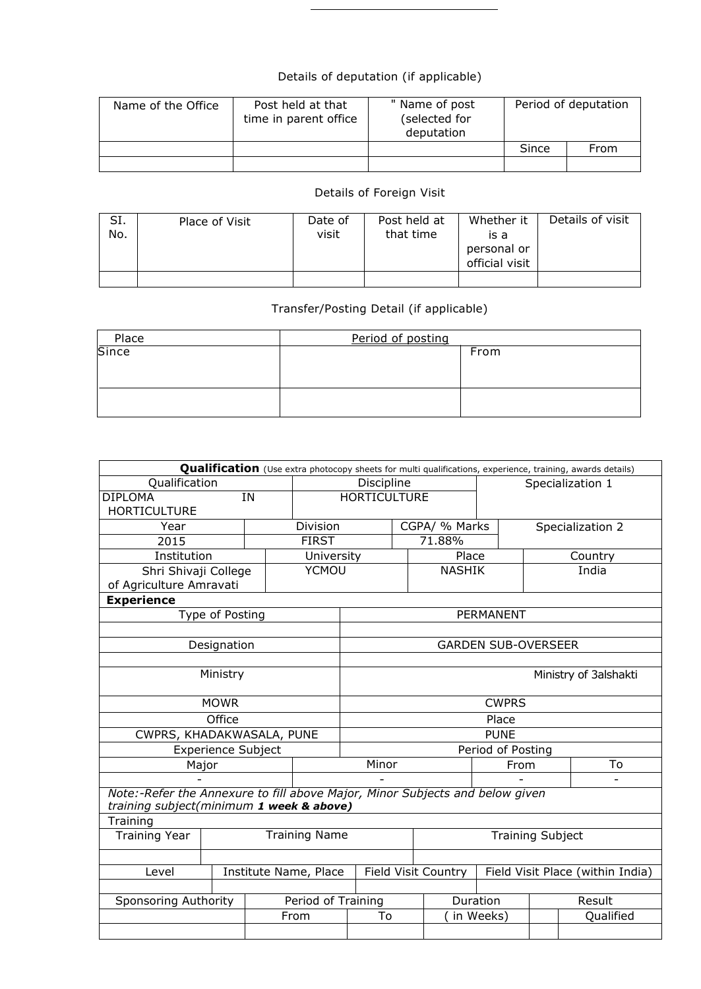## Details of deputation (if applicable)

| Name of the Office | Post held at that<br>time in parent office | " Name of post<br>(selected for<br>deputation | Period of deputation |      |  |
|--------------------|--------------------------------------------|-----------------------------------------------|----------------------|------|--|
|                    |                                            |                                               | Since                | From |  |
|                    |                                            |                                               |                      |      |  |

## Details of Foreign Visit

| SI.<br>No. | Place of Visit | Date of<br>visit | Post held at<br>that time | Whether it<br>is a<br>personal or<br>official visit | Details of visit |
|------------|----------------|------------------|---------------------------|-----------------------------------------------------|------------------|
|            |                |                  |                           |                                                     |                  |

## Transfer/Posting Detail (if applicable)

| Place | Period of posting |      |
|-------|-------------------|------|
| Since |                   | From |
|       |                   |      |
|       |                   |      |
|       |                   |      |
|       |                   |      |

| Qualification (Use extra photocopy sheets for multi qualifications, experience, training, awards details)                |                           |  |                     |                         |  |                                  |                            |                  |           |  |
|--------------------------------------------------------------------------------------------------------------------------|---------------------------|--|---------------------|-------------------------|--|----------------------------------|----------------------------|------------------|-----------|--|
| Qualification                                                                                                            |                           |  |                     | Discipline              |  |                                  | Specialization 1           |                  |           |  |
| <b>DIPLOMA</b><br>IN                                                                                                     |                           |  |                     | <b>HORTICULTURE</b>     |  |                                  |                            |                  |           |  |
| <b>HORTICULTURE</b>                                                                                                      |                           |  |                     |                         |  |                                  |                            |                  |           |  |
| Year                                                                                                                     | Division                  |  |                     | CGPA/ % Marks           |  |                                  |                            | Specialization 2 |           |  |
| 2015                                                                                                                     |                           |  | <b>FIRST</b>        |                         |  | 71.88%                           |                            |                  |           |  |
| Institution                                                                                                              |                           |  | University          |                         |  | Place                            |                            | Country          |           |  |
| Shri Shivaji College                                                                                                     |                           |  | <b>YCMOU</b>        |                         |  | <b>NASHIK</b>                    |                            |                  | India     |  |
| of Agriculture Amravati                                                                                                  |                           |  |                     |                         |  |                                  |                            |                  |           |  |
| <b>Experience</b>                                                                                                        |                           |  |                     |                         |  |                                  |                            |                  |           |  |
|                                                                                                                          | Type of Posting           |  |                     |                         |  |                                  | <b>PERMANENT</b>           |                  |           |  |
|                                                                                                                          |                           |  |                     |                         |  |                                  |                            |                  |           |  |
|                                                                                                                          | Designation               |  |                     |                         |  |                                  | <b>GARDEN SUB-OVERSEER</b> |                  |           |  |
|                                                                                                                          |                           |  |                     |                         |  |                                  |                            |                  |           |  |
| Ministry                                                                                                                 |                           |  |                     | Ministry of 3alshakti   |  |                                  |                            |                  |           |  |
|                                                                                                                          | <b>MOWR</b>               |  |                     | <b>CWPRS</b>            |  |                                  |                            |                  |           |  |
|                                                                                                                          | Office                    |  |                     |                         |  |                                  | Place                      |                  |           |  |
| CWPRS, KHADAKWASALA, PUNE                                                                                                |                           |  |                     |                         |  |                                  | <b>PUNE</b>                |                  |           |  |
|                                                                                                                          | <b>Experience Subject</b> |  |                     |                         |  |                                  | Period of Posting          |                  |           |  |
| Major                                                                                                                    |                           |  |                     | Minor                   |  |                                  | From                       |                  | To        |  |
|                                                                                                                          |                           |  |                     |                         |  |                                  |                            |                  |           |  |
| Note:-Refer the Annexure to fill above Major, Minor Subjects and below given<br>training subject(minimum 1 week & above) |                           |  |                     |                         |  |                                  |                            |                  |           |  |
| Training                                                                                                                 |                           |  |                     |                         |  |                                  |                            |                  |           |  |
| <b>Training Name</b><br><b>Training Year</b>                                                                             |                           |  |                     | <b>Training Subject</b> |  |                                  |                            |                  |           |  |
|                                                                                                                          |                           |  |                     |                         |  |                                  |                            |                  |           |  |
| Institute Name, Place<br>Level                                                                                           |                           |  | Field Visit Country |                         |  | Field Visit Place (within India) |                            |                  |           |  |
|                                                                                                                          |                           |  |                     |                         |  |                                  |                            |                  |           |  |
| Sponsoring Authority                                                                                                     |                           |  | Period of Training  |                         |  |                                  | Duration                   |                  | Result    |  |
|                                                                                                                          |                           |  | From                | To                      |  |                                  | in Weeks)                  |                  | Qualified |  |
|                                                                                                                          |                           |  |                     |                         |  |                                  |                            |                  |           |  |